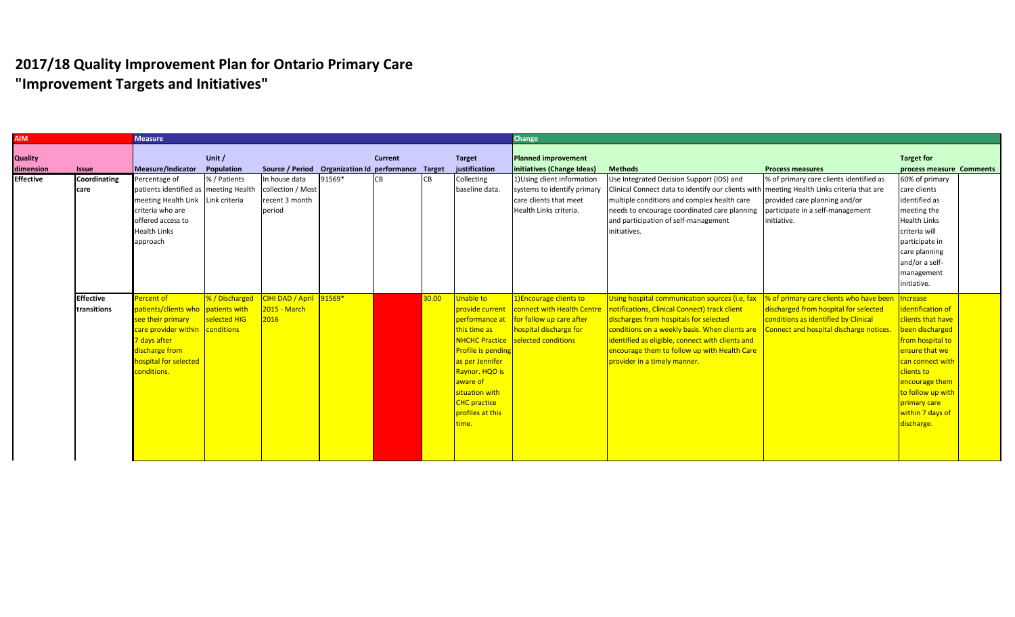| <b>AIM</b>                  |                                 | <b>Measure</b>                                                                                                                                                                     |                                |                                                                |        |                |           |                                                                                                                                                                                                                    | <b>Change</b>                                                                                                              |                                                                                                                                                                                                                                                                                                                                                              |                                                                                                                                                                     |                                                                                                                                                                                                                                        |
|-----------------------------|---------------------------------|------------------------------------------------------------------------------------------------------------------------------------------------------------------------------------|--------------------------------|----------------------------------------------------------------|--------|----------------|-----------|--------------------------------------------------------------------------------------------------------------------------------------------------------------------------------------------------------------------|----------------------------------------------------------------------------------------------------------------------------|--------------------------------------------------------------------------------------------------------------------------------------------------------------------------------------------------------------------------------------------------------------------------------------------------------------------------------------------------------------|---------------------------------------------------------------------------------------------------------------------------------------------------------------------|----------------------------------------------------------------------------------------------------------------------------------------------------------------------------------------------------------------------------------------|
| <b>Quality</b><br>dimension | <b>Issue</b>                    | Measure/Indicator                                                                                                                                                                  | Unit /<br>Population           | Source / Period Organization Id performance Target             |        | <b>Current</b> |           | <b>Target</b><br>justification                                                                                                                                                                                     | <b>Planned improvement</b><br>initiatives (Change Ideas)                                                                   | <b>Methods</b>                                                                                                                                                                                                                                                                                                                                               | <b>Process measures</b>                                                                                                                                             | <b>Target for</b><br>process measure Comments                                                                                                                                                                                          |
| <b>Effective</b>            | Coordinating<br>care            | Percentage of<br>patients identified as meeting Health<br>meeting Health Link Link criteria<br>criteria who are<br>offered access to<br><b>Health Links</b><br>approach            | % / Patients                   | In house data<br>collection / Most<br>recent 3 month<br>period | 91569* | <b>CB</b>      | <b>CB</b> | Collecting<br>baseline data.                                                                                                                                                                                       | 1) Using client information<br>systems to identify primary<br>care clients that meet<br>Health Links criteria.             | Use Integrated Decision Support (IDS) and<br>Clinical Connect data to identify our clients with meeting Health Links criteria that are<br>multiple conditions and complex health care<br>needs to encourage coordinated care planning<br>and participation of self-management<br>initiatives.                                                                | % of primary care clients identified as<br>provided care planning and/or<br>participate in a self-management<br>initiative.                                         | 60% of primary<br>care clients<br>identified as<br>meeting the<br><b>Health Links</b><br>criteria will<br>participate in<br>care planning<br>and/or a self-<br>management<br>initiative.                                               |
|                             | <b>Effective</b><br>transitions | Percent of<br>patients/clients who patients with<br>see their primary<br>care provider within conditions<br>7 days after<br>discharge from<br>hospital for selected<br>conditions. | % / Discharged<br>selected HIG | CIHI DAD / April 91569*<br>2015 - March<br>2016                |        |                | 30.00     | Unable to<br>provide current<br>performance at<br>this time as<br><b>Profile is pending</b><br>as per Jennifer<br>Raynor. HQO is<br>aware of<br>situation with<br><b>CHC</b> practice<br>profiles at this<br>time. | 1) Encourage clients to<br>for follow up care after<br>hospital discharge for<br><b>NHCHC Practice</b> selected conditions | Using hospital communication sources (i.e, fax<br>connect with Health Centre   notifications, Clinical Connect) track client<br>discharges from hospitals for selected<br>conditions on a weekly basis. When clients are<br>identified as eligible, connect with clients and<br>encourage them to follow up with Health Care<br>provider in a timely manner. | % of primary care clients who have been<br>discharged from hospital for selected<br>conditions as identified by Clinical<br>Connect and hospital discharge notices. | Increase<br>identification of<br>clients that have<br>been discharged<br>from hospital to<br>ensure that we<br>can connect with<br>clients to<br>encourage them<br>to follow up with<br>primary care<br>within 7 days of<br>discharge. |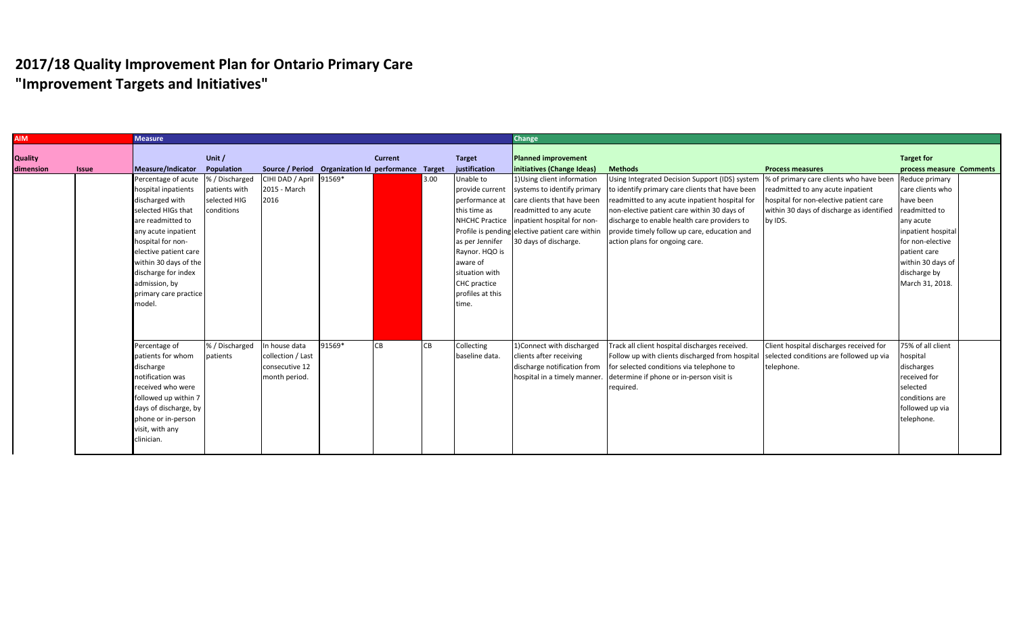| process measure Comments |
|--------------------------|
| Reduce primary           |
| care clients who         |
|                          |
| readmitted to            |
|                          |
| inpatient hospital       |
| for non-elective         |
|                          |
| within 30 days of        |
|                          |
| March 31, 2018.          |
|                          |
|                          |
|                          |
|                          |
|                          |
| 75% of all client        |
|                          |
|                          |
|                          |
|                          |
| conditions are           |
| followed up via          |
|                          |
|                          |
|                          |
|                          |
| discharge by             |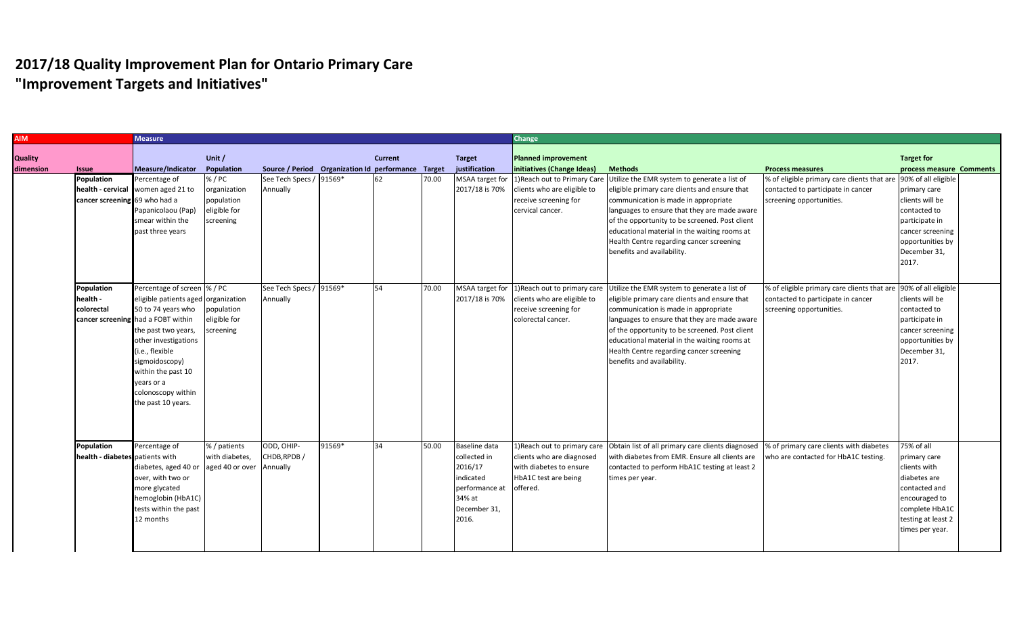| <b>AIM</b> |                                    | <b>Measure</b>                      |                 |                                                    |        |                |       |                 | <b>Change</b>               |                                                                                                                         |                                                                 |                          |  |
|------------|------------------------------------|-------------------------------------|-----------------|----------------------------------------------------|--------|----------------|-------|-----------------|-----------------------------|-------------------------------------------------------------------------------------------------------------------------|-----------------------------------------------------------------|--------------------------|--|
|            |                                    |                                     |                 |                                                    |        |                |       |                 |                             |                                                                                                                         |                                                                 |                          |  |
| Quality    |                                    |                                     | Unit /          |                                                    |        | <b>Current</b> |       | <b>Target</b>   | Planned improvement         |                                                                                                                         |                                                                 | <b>Target for</b>        |  |
| dimension  | <b>Issue</b>                       | Measure/Indicator                   | Population      | Source / Period Organization Id performance Target |        |                |       | justification   | initiatives (Change Ideas)  | <b>Methods</b>                                                                                                          | <b>Process measures</b>                                         | process measure Comments |  |
|            | Population                         | Percentage of                       | % / PC          | See Tech Specs / 91569*                            |        | 62             | 70.00 | MSAA target for | 1) Reach out to Primary Car | Utilize the EMR system to generate a list of                                                                            | % of eligible primary care clients that ar                      | 90% of all eligible      |  |
|            |                                    | health - cervical women aged 21 to  | organization    | Annually                                           |        |                |       | 2017/18 is 70%  | clients who are eligible to | eligible primary care clients and ensure that                                                                           | contacted to participate in cancer                              | primary care             |  |
|            | cancer screening 69 who had a      |                                     | population      |                                                    |        |                |       |                 | receive screening for       | communication is made in appropriate                                                                                    | screening opportunities.                                        | clients will be          |  |
|            |                                    | Papanicolaou (Pap)                  | eligible for    |                                                    |        |                |       |                 | cervical cancer.            | languages to ensure that they are made aware                                                                            |                                                                 | contacted to             |  |
|            |                                    | smear within the                    | screening       |                                                    |        |                |       |                 |                             | of the opportunity to be screened. Post client                                                                          |                                                                 | participate in           |  |
|            |                                    | past three years                    |                 |                                                    |        |                |       |                 |                             | educational material in the waiting rooms at                                                                            |                                                                 | cancer screening         |  |
|            |                                    |                                     |                 |                                                    |        |                |       |                 |                             | Health Centre regarding cancer screening                                                                                |                                                                 | opportunities by         |  |
|            |                                    |                                     |                 |                                                    |        |                |       |                 |                             | benefits and availability.                                                                                              |                                                                 | December 31,             |  |
|            |                                    |                                     |                 |                                                    |        |                |       |                 |                             |                                                                                                                         |                                                                 | 2017.                    |  |
|            |                                    |                                     |                 |                                                    |        |                |       |                 |                             |                                                                                                                         |                                                                 |                          |  |
|            |                                    |                                     |                 |                                                    |        |                |       |                 |                             |                                                                                                                         |                                                                 |                          |  |
|            | Population                         | Percentage of screen  % / PC        |                 | See Tech Specs / 91569*                            |        | 54             | 70.00 | MSAA target for |                             | 1) Reach out to primary care Utilize the EMR system to generate a list of                                               | % of eligible primary care clients that are 90% of all eligible |                          |  |
|            | health -                           | eligible patients aged organization |                 | Annually                                           |        |                |       | 2017/18 is 70%  | clients who are eligible to | eligible primary care clients and ensure that                                                                           | contacted to participate in cancer                              | clients will be          |  |
|            | colorectal                         | 50 to 74 years who                  | population      |                                                    |        |                |       |                 | receive screening for       | communication is made in appropriate                                                                                    | screening opportunities.                                        | contacted to             |  |
|            | cancer screening had a FOBT within |                                     | eligible for    |                                                    |        |                |       |                 | colorectal cancer.          | languages to ensure that they are made aware                                                                            |                                                                 | participate in           |  |
|            |                                    | the past two years,                 | screening       |                                                    |        |                |       |                 |                             | of the opportunity to be screened. Post client                                                                          |                                                                 | cancer screening         |  |
|            |                                    | other investigations                |                 |                                                    |        |                |       |                 |                             | educational material in the waiting rooms at                                                                            |                                                                 | opportunities by         |  |
|            |                                    | (i.e., flexible                     |                 |                                                    |        |                |       |                 |                             | Health Centre regarding cancer screening                                                                                |                                                                 | December 31,             |  |
|            |                                    | sigmoidoscopy)                      |                 |                                                    |        |                |       |                 |                             | benefits and availability.                                                                                              |                                                                 | 2017.                    |  |
|            |                                    | within the past 10                  |                 |                                                    |        |                |       |                 |                             |                                                                                                                         |                                                                 |                          |  |
|            |                                    | years or a                          |                 |                                                    |        |                |       |                 |                             |                                                                                                                         |                                                                 |                          |  |
|            |                                    | colonoscopy within                  |                 |                                                    |        |                |       |                 |                             |                                                                                                                         |                                                                 |                          |  |
|            |                                    | the past 10 years.                  |                 |                                                    |        |                |       |                 |                             |                                                                                                                         |                                                                 |                          |  |
|            |                                    |                                     |                 |                                                    |        |                |       |                 |                             |                                                                                                                         |                                                                 |                          |  |
|            |                                    |                                     |                 |                                                    |        |                |       |                 |                             |                                                                                                                         |                                                                 |                          |  |
|            |                                    |                                     |                 |                                                    |        |                |       |                 |                             |                                                                                                                         |                                                                 |                          |  |
|            | Population                         | Percentage of                       | % / patients    | ODD, OHIP-                                         | 91569* | 34             | 50.00 | Baseline data   |                             | 1) Reach out to primary care Obtain list of all primary care clients diagnosed  % of primary care clients with diabetes |                                                                 | 75% of all               |  |
|            | health - diabetes patients with    |                                     | with diabetes,  | CHDB, RPDB /                                       |        |                |       | collected in    | clients who are diagnosed   | with diabetes from EMR. Ensure all clients are                                                                          | who are contacted for HbA1C testing.                            | primary care             |  |
|            |                                    | diabetes, aged 40 or                | aged 40 or over | Annually                                           |        |                |       | 2016/17         | with diabetes to ensure     | contacted to perform HbA1C testing at least 2                                                                           |                                                                 | clients with             |  |
|            |                                    | over, with two or                   |                 |                                                    |        |                |       | indicated       | HbA1C test are being        | times per year.                                                                                                         |                                                                 | diabetes are             |  |
|            |                                    | more glycated                       |                 |                                                    |        |                |       | performance at  | offered.                    |                                                                                                                         |                                                                 | contacted and            |  |
|            |                                    | hemoglobin (HbA1C)                  |                 |                                                    |        |                |       | 34% at          |                             |                                                                                                                         |                                                                 | encouraged to            |  |
|            |                                    | tests within the past               |                 |                                                    |        |                |       | December 31,    |                             |                                                                                                                         |                                                                 | complete HbA1C           |  |
|            |                                    | 12 months                           |                 |                                                    |        |                |       | 2016.           |                             |                                                                                                                         |                                                                 | testing at least 2       |  |
|            |                                    |                                     |                 |                                                    |        |                |       |                 |                             |                                                                                                                         |                                                                 |                          |  |
|            |                                    |                                     |                 |                                                    |        |                |       |                 |                             |                                                                                                                         |                                                                 | times per year.          |  |
|            |                                    |                                     |                 |                                                    |        |                |       |                 |                             |                                                                                                                         |                                                                 |                          |  |
|            |                                    |                                     |                 |                                                    |        |                |       |                 |                             |                                                                                                                         |                                                                 |                          |  |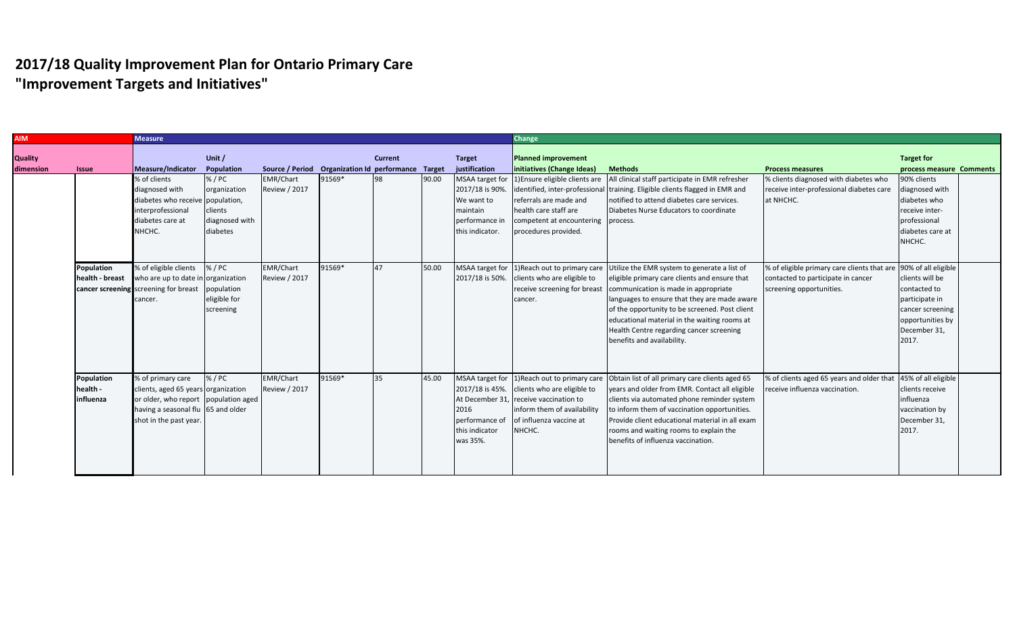| <b>AIM</b> |                   | <b>Measure</b>                        |                |                                                    |        |                |       |                 | <b>Change</b>                      |                                                                                              |                                                                 |                          |
|------------|-------------------|---------------------------------------|----------------|----------------------------------------------------|--------|----------------|-------|-----------------|------------------------------------|----------------------------------------------------------------------------------------------|-----------------------------------------------------------------|--------------------------|
|            |                   |                                       |                |                                                    |        |                |       |                 |                                    |                                                                                              |                                                                 |                          |
| Quality    |                   |                                       | Unit /         |                                                    |        | <b>Current</b> |       | <b>Target</b>   | <b>Planned improvement</b>         |                                                                                              |                                                                 | <b>Target for</b>        |
| dimension  | <b>Issue</b>      | Measure/Indicator                     | Population     | Source / Period Organization Id performance Target |        |                |       | justification   | initiatives (Change Ideas)         | <b>Methods</b>                                                                               | <b>Process measures</b>                                         | process measure Comments |
|            |                   | % of clients                          | % / PC         | <b>EMR/Chart</b>                                   | 91569* | 98             | 90.00 | MSAA target for | 1) Ensure eligible clients are     | All clinical staff participate in EMR refresher                                              | % clients diagnosed with diabetes who                           | 90% clients              |
|            |                   | diagnosed with                        | organization   | <b>Review / 2017</b>                               |        |                |       | 2017/18 is 90%. |                                    | identified, inter-professional training. Eligible clients flagged in EMR and                 | receive inter-professional diabetes care                        | diagnosed with           |
|            |                   | diabetes who receive population,      |                |                                                    |        |                |       | We want to      | referrals are made and             | notified to attend diabetes care services.                                                   | at NHCHC.                                                       | diabetes who             |
|            |                   | interprofessional                     | clients        |                                                    |        |                |       | maintain        | health care staff are              | Diabetes Nurse Educators to coordinate                                                       |                                                                 | receive inter-           |
|            |                   | diabetes care at                      | diagnosed with |                                                    |        |                |       | performance in  | competent at encountering process. |                                                                                              |                                                                 | professional             |
|            |                   | NHCHC.                                | diabetes       |                                                    |        |                |       | this indicator. | procedures provided.               |                                                                                              |                                                                 | diabetes care at         |
|            |                   |                                       |                |                                                    |        |                |       |                 |                                    |                                                                                              |                                                                 | NHCHC.                   |
|            |                   |                                       |                |                                                    |        |                |       |                 |                                    |                                                                                              |                                                                 |                          |
|            | Population        | % of eligible clients                 | % / PC         | <b>EMR/Chart</b>                                   | 91569* | 47             | 50.00 |                 |                                    | MSAA target for 1)Reach out to primary care Utilize the EMR system to generate a list of     | % of eligible primary care clients that are 90% of all eligible |                          |
|            | health - breast   | who are up to date in organization    |                | <b>Review / 2017</b>                               |        |                |       | 2017/18 is 50%. | clients who are eligible to        | eligible primary care clients and ensure that                                                | contacted to participate in cancer                              | clients will be          |
|            |                   | cancer screening screening for breast | population     |                                                    |        |                |       |                 |                                    | receive screening for breast   communication is made in appropriate                          | screening opportunities.                                        | contacted to             |
|            |                   | cancer.                               | eligible for   |                                                    |        |                |       |                 | cancer.                            | languages to ensure that they are made aware                                                 |                                                                 | participate in           |
|            |                   |                                       | screening      |                                                    |        |                |       |                 |                                    | of the opportunity to be screened. Post client                                               |                                                                 | cancer screening         |
|            |                   |                                       |                |                                                    |        |                |       |                 |                                    | educational material in the waiting rooms at                                                 |                                                                 | opportunities by         |
|            |                   |                                       |                |                                                    |        |                |       |                 |                                    | Health Centre regarding cancer screening                                                     |                                                                 | December 31,             |
|            |                   |                                       |                |                                                    |        |                |       |                 |                                    | benefits and availability.                                                                   |                                                                 | 2017.                    |
|            |                   |                                       |                |                                                    |        |                |       |                 |                                    |                                                                                              |                                                                 |                          |
|            |                   |                                       |                |                                                    |        |                |       |                 |                                    |                                                                                              |                                                                 |                          |
|            |                   |                                       |                |                                                    |        |                |       |                 |                                    |                                                                                              |                                                                 |                          |
|            | <b>Population</b> | % of primary care                     | % / PC         | <b>EMR/Chart</b>                                   | 91569* | 35             | 45.00 |                 |                                    | MSAA target for 1) Reach out to primary care Obtain list of all primary care clients aged 65 | % of clients aged 65 years and older that 45% of all eligible   |                          |
|            | health -          | clients, aged 65 years organization   |                | <b>Review / 2017</b>                               |        |                |       | 2017/18 is 45%. | clients who are eligible to        | years and older from EMR. Contact all eligible                                               | receive influenza vaccination.                                  | clients receive          |
|            | influenza         | or older, who report population aged  |                |                                                    |        |                |       | At December 31, | . receive vaccination to           | clients via automated phone reminder system                                                  |                                                                 | influenza                |
|            |                   | having a seasonal flu 65 and older    |                |                                                    |        |                |       | 2016            | inform them of availability        | to inform them of vaccination opportunities.                                                 |                                                                 | vaccination by           |
|            |                   | shot in the past year.                |                |                                                    |        |                |       | performance of  | of influenza vaccine at            | Provide client educational material in all exam                                              |                                                                 | December 31,             |
|            |                   |                                       |                |                                                    |        |                |       | this indicator  | NHCHC.                             | rooms and waiting rooms to explain the                                                       |                                                                 | 2017.                    |
|            |                   |                                       |                |                                                    |        |                |       | was 35%.        |                                    | benefits of influenza vaccination.                                                           |                                                                 |                          |
|            |                   |                                       |                |                                                    |        |                |       |                 |                                    |                                                                                              |                                                                 |                          |
|            |                   |                                       |                |                                                    |        |                |       |                 |                                    |                                                                                              |                                                                 |                          |
|            |                   |                                       |                |                                                    |        |                |       |                 |                                    |                                                                                              |                                                                 |                          |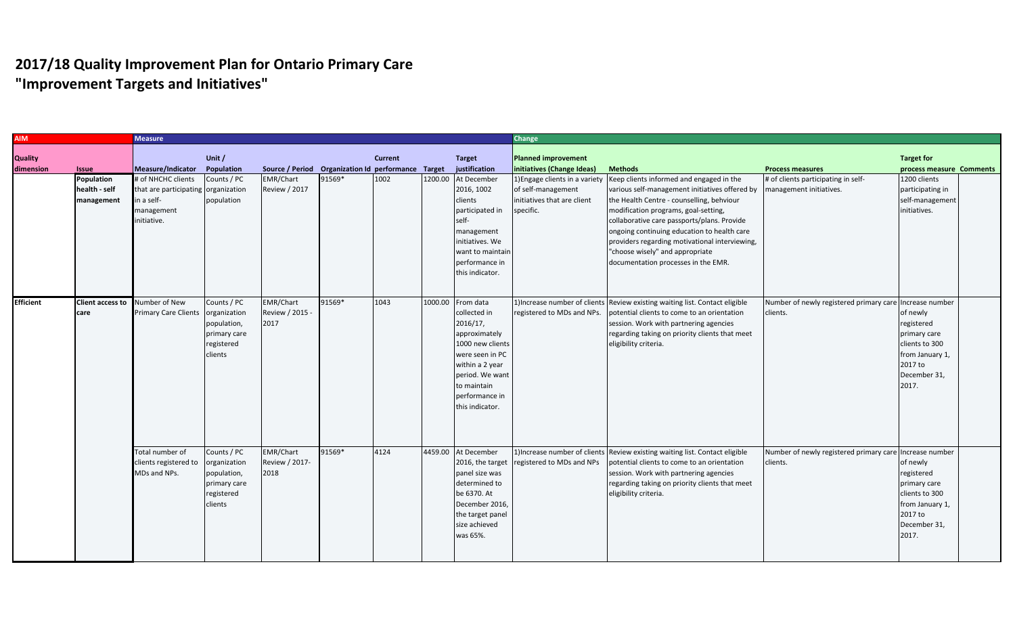| <b>AIM</b>       |                         | <b>Measure</b>                      |              |                                                    |        |                |         |                  | Change                      |                                                                              |                                                         |                          |  |
|------------------|-------------------------|-------------------------------------|--------------|----------------------------------------------------|--------|----------------|---------|------------------|-----------------------------|------------------------------------------------------------------------------|---------------------------------------------------------|--------------------------|--|
|                  |                         |                                     |              |                                                    |        |                |         |                  |                             |                                                                              |                                                         |                          |  |
| <b>Quality</b>   |                         |                                     | Unit /       |                                                    |        | <b>Current</b> |         | <b>Target</b>    | Planned improvement         |                                                                              |                                                         | <b>Target for</b>        |  |
| dimension        | <b>Issue</b>            | Measure/Indicator                   | Population   | Source / Period Organization Id performance Target |        |                |         | justification    | initiatives (Change Ideas)  | <b>Methods</b>                                                               | <b>Process measures</b>                                 | process measure Comments |  |
|                  | <b>Population</b>       | # of NHCHC clients                  | Counts / PC  | <b>EMR/Chart</b>                                   | 91569* | 1002           | 1200.00 | At December      |                             | 1) Engage clients in a variety   Keep clients informed and engaged in the    | # of clients participating in self-                     | 1200 clients             |  |
|                  | health - self           | that are participating organization |              | <b>Review / 2017</b>                               |        |                |         | 2016, 1002       | of self-management          | various self-management initiatives offered by                               | management initiatives.                                 | participating in         |  |
|                  | management              | in a self-                          | population   |                                                    |        |                |         | clients          | initiatives that are client | the Health Centre - counselling, behviour                                    |                                                         | self-management          |  |
|                  |                         | management                          |              |                                                    |        |                |         | participated in  | specific.                   | modification programs, goal-setting,                                         |                                                         | initiatives.             |  |
|                  |                         | initiative.                         |              |                                                    |        |                |         | self-            |                             | collaborative care passports/plans. Provide                                  |                                                         |                          |  |
|                  |                         |                                     |              |                                                    |        |                |         | management       |                             | ongoing continuing education to health care                                  |                                                         |                          |  |
|                  |                         |                                     |              |                                                    |        |                |         | initiatives. We  |                             | providers regarding motivational interviewing,                               |                                                         |                          |  |
|                  |                         |                                     |              |                                                    |        |                |         | want to maintain |                             | "choose wisely" and appropriate                                              |                                                         |                          |  |
|                  |                         |                                     |              |                                                    |        |                |         | performance in   |                             | documentation processes in the EMR.                                          |                                                         |                          |  |
|                  |                         |                                     |              |                                                    |        |                |         | this indicator.  |                             |                                                                              |                                                         |                          |  |
|                  |                         |                                     |              |                                                    |        |                |         |                  |                             |                                                                              |                                                         |                          |  |
|                  |                         |                                     |              |                                                    |        |                |         |                  |                             |                                                                              |                                                         |                          |  |
| <b>Efficient</b> | <b>Client access to</b> | Number of New                       | Counts / PC  | <b>EMR/Chart</b>                                   | 91569* | 1043           | 1000.00 | From data        |                             | 1) Increase number of clients Review existing waiting list. Contact eligible | Number of newly registered primary care Increase number |                          |  |
|                  | care                    | <b>Primary Care Clients</b>         | organization | Review / 2015 -                                    |        |                |         | collected in     | registered to MDs and NPs.  | potential clients to come to an orientation                                  | clients.                                                | of newly                 |  |
|                  |                         |                                     | population,  | 2017                                               |        |                |         | 2016/17,         |                             | session. Work with partnering agencies                                       |                                                         | registered               |  |
|                  |                         |                                     | primary care |                                                    |        |                |         | approximately    |                             | regarding taking on priority clients that meet                               |                                                         | primary care             |  |
|                  |                         |                                     | registered   |                                                    |        |                |         | 1000 new clients |                             | eligibility criteria.                                                        |                                                         | clients to 300           |  |
|                  |                         |                                     | clients      |                                                    |        |                |         | were seen in PC  |                             |                                                                              |                                                         | from January 1,          |  |
|                  |                         |                                     |              |                                                    |        |                |         | within a 2 year  |                             |                                                                              |                                                         | 2017 to                  |  |
|                  |                         |                                     |              |                                                    |        |                |         | period. We want  |                             |                                                                              |                                                         | December 31,             |  |
|                  |                         |                                     |              |                                                    |        |                |         | to maintain      |                             |                                                                              |                                                         | 2017.                    |  |
|                  |                         |                                     |              |                                                    |        |                |         | performance in   |                             |                                                                              |                                                         |                          |  |
|                  |                         |                                     |              |                                                    |        |                |         | this indicator.  |                             |                                                                              |                                                         |                          |  |
|                  |                         |                                     |              |                                                    |        |                |         |                  |                             |                                                                              |                                                         |                          |  |
|                  |                         |                                     |              |                                                    |        |                |         |                  |                             |                                                                              |                                                         |                          |  |
|                  |                         |                                     |              |                                                    |        |                |         |                  |                             |                                                                              |                                                         |                          |  |
|                  |                         |                                     |              |                                                    |        |                |         |                  |                             |                                                                              |                                                         |                          |  |
|                  |                         | Total number of                     | Counts / PC  | EMR/Chart                                          | 91569* | 4124           | 4459.00 | At December      |                             | 1) Increase number of clients Review existing waiting list. Contact eligible | Number of newly registered primary care Increase number |                          |  |
|                  |                         | clients registered to               | organization | Review / 2017-                                     |        |                |         | 2016, the target | registered to MDs and NPs   | potential clients to come to an orientation                                  | clients.                                                | of newly                 |  |
|                  |                         | MDs and NPs.                        | population,  | 2018                                               |        |                |         | panel size was   |                             | session. Work with partnering agencies                                       |                                                         | registered               |  |
|                  |                         |                                     | primary care |                                                    |        |                |         | determined to    |                             | regarding taking on priority clients that meet                               |                                                         | primary care             |  |
|                  |                         |                                     | registered   |                                                    |        |                |         | be 6370. At      |                             | eligibility criteria.                                                        |                                                         | clients to 300           |  |
|                  |                         |                                     | clients      |                                                    |        |                |         | December 2016,   |                             |                                                                              |                                                         | from January 1,          |  |
|                  |                         |                                     |              |                                                    |        |                |         | the target panel |                             |                                                                              |                                                         | 2017 to                  |  |
|                  |                         |                                     |              |                                                    |        |                |         | size achieved    |                             |                                                                              |                                                         | December 31,             |  |
|                  |                         |                                     |              |                                                    |        |                |         | was 65%.         |                             |                                                                              |                                                         | 2017.                    |  |
|                  |                         |                                     |              |                                                    |        |                |         |                  |                             |                                                                              |                                                         |                          |  |
|                  |                         |                                     |              |                                                    |        |                |         |                  |                             |                                                                              |                                                         |                          |  |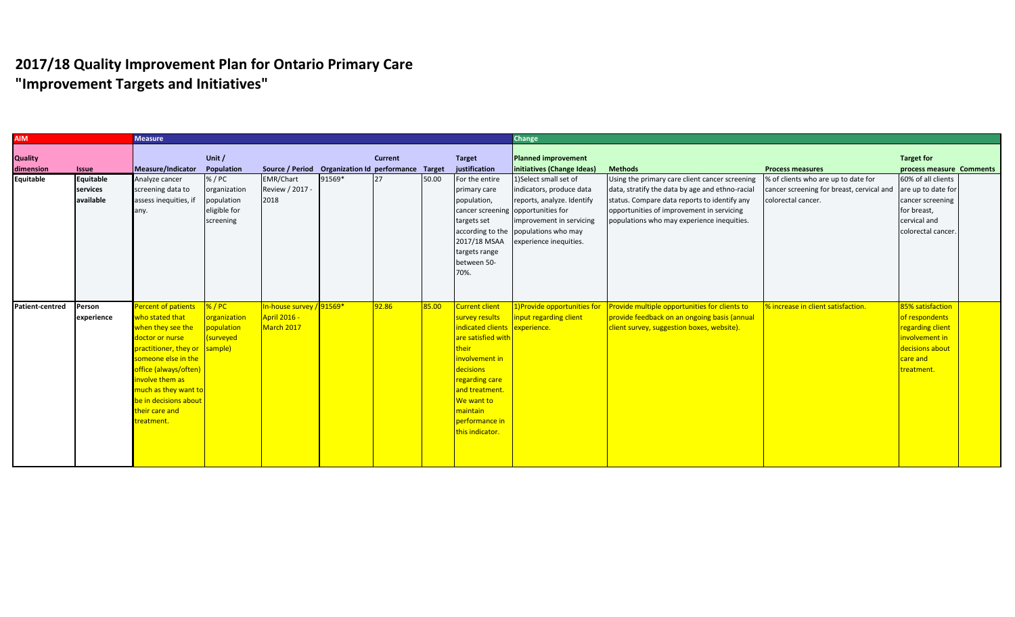| <b>AIM</b>             |              | <b>Measure</b>                |              |                                                    |        |                |       |                                    | Change                               |                                                 |                                                              |                          |  |
|------------------------|--------------|-------------------------------|--------------|----------------------------------------------------|--------|----------------|-------|------------------------------------|--------------------------------------|-------------------------------------------------|--------------------------------------------------------------|--------------------------|--|
|                        |              |                               |              |                                                    |        |                |       |                                    |                                      |                                                 |                                                              |                          |  |
| <b>Quality</b>         |              |                               | Unit /       |                                                    |        | <b>Current</b> |       | <b>Target</b>                      | <b>Planned improvement</b>           |                                                 |                                                              | <b>Target for</b>        |  |
| dimension              | <b>Issue</b> | Measure/Indicator             | Population   | Source / Period Organization Id performance Target |        |                |       | justification                      | initiatives (Change Ideas)           | <b>Methods</b>                                  | <b>Process measures</b>                                      | process measure Comments |  |
| <b>Equitable</b>       | Equitable    | Analyze cancer                | % / PC       | <b>EMR/Chart</b>                                   | 91569* | 27             | 50.00 | For the entire                     | 1)Select small set of                | Using the primary care client cancer screening  | % of clients who are up to date for                          | 60% of all clients       |  |
|                        | services     | screening data to             | organization | Review / 2017 -                                    |        |                |       | primary care                       | indicators, produce data             | data, stratify the data by age and ethno-racial | cancer screening for breast, cervical and are up to date for |                          |  |
|                        | available    | assess inequities, if         | population   | 2018                                               |        |                |       | population,                        | reports, analyze. Identify           | status. Compare data reports to identify any    | colorectal cancer.                                           | cancer screening         |  |
|                        |              | any.                          | eligible for |                                                    |        |                |       | cancer screening opportunities for |                                      | opportunities of improvement in servicing       |                                                              | for breast,              |  |
|                        |              |                               | screening    |                                                    |        |                |       | targets set                        | Improvement in servicing             | populations who may experience inequities.      |                                                              | cervical and             |  |
|                        |              |                               |              |                                                    |        |                |       |                                    | according to the populations who may |                                                 |                                                              | colorectal cancer.       |  |
|                        |              |                               |              |                                                    |        |                |       | 2017/18 MSAA                       | experience inequities.               |                                                 |                                                              |                          |  |
|                        |              |                               |              |                                                    |        |                |       | targets range                      |                                      |                                                 |                                                              |                          |  |
|                        |              |                               |              |                                                    |        |                |       | between 50-                        |                                      |                                                 |                                                              |                          |  |
|                        |              |                               |              |                                                    |        |                |       | 70%.                               |                                      |                                                 |                                                              |                          |  |
|                        |              |                               |              |                                                    |        |                |       |                                    |                                      |                                                 |                                                              |                          |  |
|                        |              |                               |              |                                                    |        |                |       |                                    |                                      |                                                 |                                                              |                          |  |
| <b>Patient-centred</b> | Person       | Percent of patients           | % / PC       | In-house survey /                                  | 91569* | 92.86          | 85.00 | Current client                     | 1)Provide opportunities for          | Provide multiple opportunities for clients to   | % increase in client satisfaction.                           | 85% satisfaction         |  |
|                        | experience   | who stated that               | organization | <b>April 2016 -</b>                                |        |                |       | survey results                     | input regarding client               | provide feedback on an ongoing basis (annual    |                                                              | of respondents           |  |
|                        |              | when they see the             | population   | March 2017                                         |        |                |       | indicated clients experience.      |                                      | client survey, suggestion boxes, website).      |                                                              | regarding client         |  |
|                        |              | doctor or nurse               | (surveyed    |                                                    |        |                |       | are satisfied with                 |                                      |                                                 |                                                              | involvement in           |  |
|                        |              | practitioner, they or sample) |              |                                                    |        |                |       | their                              |                                      |                                                 |                                                              | decisions about          |  |
|                        |              | someone else in the           |              |                                                    |        |                |       | involvement in                     |                                      |                                                 |                                                              | care and                 |  |
|                        |              | office (always/often)         |              |                                                    |        |                |       | decisions                          |                                      |                                                 |                                                              | treatment.               |  |
|                        |              | involve them as               |              |                                                    |        |                |       | regarding care                     |                                      |                                                 |                                                              |                          |  |
|                        |              | much as they want to          |              |                                                    |        |                |       | and treatment.                     |                                      |                                                 |                                                              |                          |  |
|                        |              | be in decisions about         |              |                                                    |        |                |       | <b>We want to</b>                  |                                      |                                                 |                                                              |                          |  |
|                        |              | their care and                |              |                                                    |        |                |       | maintain                           |                                      |                                                 |                                                              |                          |  |
|                        |              | treatment.                    |              |                                                    |        |                |       | performance in                     |                                      |                                                 |                                                              |                          |  |
|                        |              |                               |              |                                                    |        |                |       | this indicator.                    |                                      |                                                 |                                                              |                          |  |
|                        |              |                               |              |                                                    |        |                |       |                                    |                                      |                                                 |                                                              |                          |  |
|                        |              |                               |              |                                                    |        |                |       |                                    |                                      |                                                 |                                                              |                          |  |
|                        |              |                               |              |                                                    |        |                |       |                                    |                                      |                                                 |                                                              |                          |  |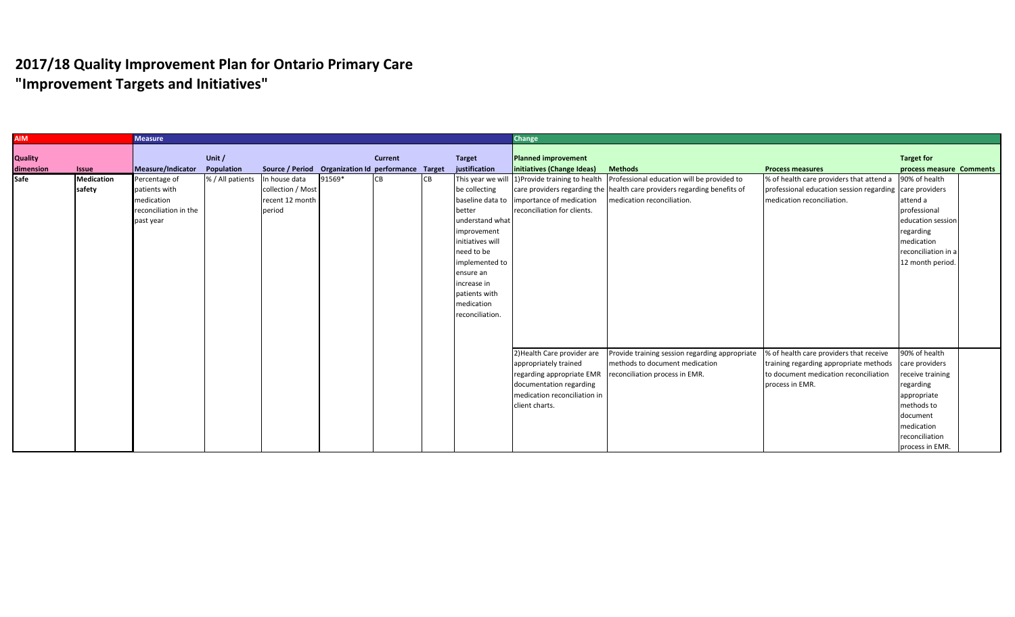| <b>AIM</b>                  |                             | <b>Measure</b>                                                                     |                      |                                                                 |        |                |           |                                                                                                                                                                                             | Change                                                                                                                            |                                                                                                                                                                                                     |                                                                                                                                                 |                                                                                                                                                              |  |  |
|-----------------------------|-----------------------------|------------------------------------------------------------------------------------|----------------------|-----------------------------------------------------------------|--------|----------------|-----------|---------------------------------------------------------------------------------------------------------------------------------------------------------------------------------------------|-----------------------------------------------------------------------------------------------------------------------------------|-----------------------------------------------------------------------------------------------------------------------------------------------------------------------------------------------------|-------------------------------------------------------------------------------------------------------------------------------------------------|--------------------------------------------------------------------------------------------------------------------------------------------------------------|--|--|
| <b>Quality</b><br>dimension | <b>Issue</b>                | Measure/Indicator                                                                  | Unit /<br>Population | Source / Period Organization Id performance Target              |        | <b>Current</b> |           | <b>Target</b><br>justification                                                                                                                                                              | Planned improvement<br>initiatives (Change Ideas)                                                                                 | <b>Methods</b>                                                                                                                                                                                      | <b>Process measures</b>                                                                                                                         | <b>Target for</b><br>process measure Comments                                                                                                                |  |  |
| Safe                        | <b>Medication</b><br>safety | Percentage of<br>patients with<br>medication<br>reconciliation in the<br>past year | % / All patients     | In house data<br>collection / Most<br>recent 12 month<br>period | 91569* |                | <b>CB</b> | be collecting<br>better<br>understand what<br>improvement<br>initiatives will<br>need to be<br>implemented to<br>ensure an<br>increase in<br>patients with<br>medication<br>reconciliation. | baseline data to importance of medication<br>reconciliation for clients.                                                          | This year we will 1)Provide training to health Professional education will be provided to<br>care providers regarding the health care providers regarding benefits of<br>medication reconciliation. | % of health care providers that attend a 90% of health<br>professional education session regarding care providers<br>medication reconciliation. | attend a<br>professional<br>education session<br>regarding<br>medication<br>reconciliation in a<br>12 month period.                                          |  |  |
|                             |                             |                                                                                    |                      |                                                                 |        |                |           |                                                                                                                                                                                             | 2) Health Care provider are<br>appropriately trained<br>documentation regarding<br>medication reconciliation in<br>client charts. | Provide training session regarding appropriate<br>methods to document medication<br>regarding appropriate EMR   reconciliation process in EMR.                                                      | % of health care providers that receive<br>training regarding appropriate methods<br>to document medication reconciliation<br>process in EMR.   | 90% of health<br>care providers<br>receive training<br>regarding<br>appropriate<br>methods to<br>document<br>medication<br>reconciliation<br>process in EMR. |  |  |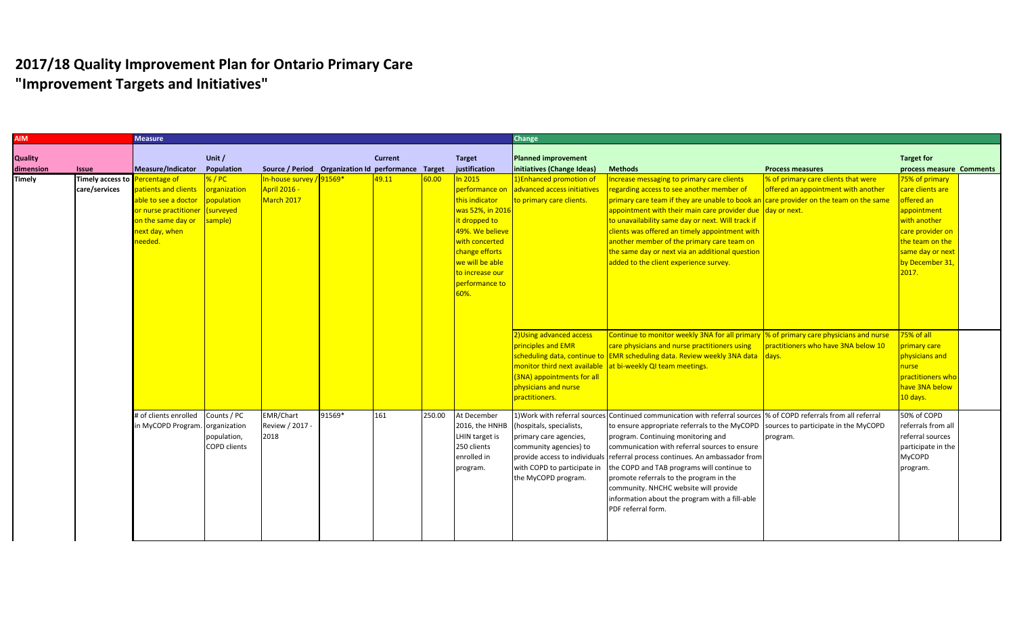| <b>AIM</b>     |                                | <b>Measure</b>        |                     |                                                    |        |                |        |                  | <b>Change</b>               |                                                                                                                   |                                     |                          |  |
|----------------|--------------------------------|-----------------------|---------------------|----------------------------------------------------|--------|----------------|--------|------------------|-----------------------------|-------------------------------------------------------------------------------------------------------------------|-------------------------------------|--------------------------|--|
|                |                                |                       |                     |                                                    |        |                |        |                  |                             |                                                                                                                   |                                     |                          |  |
| <b>Quality</b> |                                |                       | Unit $/$            |                                                    |        | <b>Current</b> |        | <b>Target</b>    | <b>Planned improvement</b>  |                                                                                                                   |                                     | <b>Target for</b>        |  |
| dimension      | <b>Issue</b>                   | Measure/Indicator     | Population          | Source / Period Organization Id performance Target |        |                |        | justification    | initiatives (Change Ideas)  | <b>Methods</b>                                                                                                    | <b>Process measures</b>             | process measure Comments |  |
| <b>Timely</b>  | Timely access to Percentage of |                       | %/PC                | In-house survey / 91569*                           |        | 49.11          | 60.00  | $\ln 2015$       | 1) Enhanced promotion of    | Increase messaging to primary care clients                                                                        | % of primary care clients that were | 75% of primary           |  |
|                | care/services                  | patients and clients  | organization        | <b>April 2016 -</b>                                |        |                |        | performance on   | advanced access initiatives | regarding access to see another member of                                                                         | offered an appointment with another | care clients are         |  |
|                |                                | able to see a doctor  | population          | March 2017                                         |        |                |        | this indicator   | to primary care clients.    | primary care team if they are unable to book an care provider on the team on the same                             |                                     | offered an               |  |
|                |                                | or nurse practitioner | (surveyed           |                                                    |        |                |        | was 52%, in 2016 |                             | appointment with their main care provider due day or next.                                                        |                                     | appointment              |  |
|                |                                | on the same day or    | sample)             |                                                    |        |                |        | it dropped to    |                             | to unavailability same day or next. Will track if                                                                 |                                     | with another             |  |
|                |                                | next day, when        |                     |                                                    |        |                |        | 49%. We believe  |                             | clients was offered an timely appointment with                                                                    |                                     | care provider on         |  |
|                |                                | needed.               |                     |                                                    |        |                |        | with concerted   |                             | another member of the primary care team on                                                                        |                                     | the team on the          |  |
|                |                                |                       |                     |                                                    |        |                |        | change efforts   |                             | the same day or next via an additional question                                                                   |                                     | same day or next         |  |
|                |                                |                       |                     |                                                    |        |                |        | we will be able  |                             | added to the client experience survey.                                                                            |                                     | by December 31,          |  |
|                |                                |                       |                     |                                                    |        |                |        | to increase our  |                             |                                                                                                                   |                                     | 2017.                    |  |
|                |                                |                       |                     |                                                    |        |                |        | performance to   |                             |                                                                                                                   |                                     |                          |  |
|                |                                |                       |                     |                                                    |        |                |        | 60%.             |                             |                                                                                                                   |                                     |                          |  |
|                |                                |                       |                     |                                                    |        |                |        |                  |                             |                                                                                                                   |                                     |                          |  |
|                |                                |                       |                     |                                                    |        |                |        |                  |                             |                                                                                                                   |                                     |                          |  |
|                |                                |                       |                     |                                                    |        |                |        |                  |                             |                                                                                                                   |                                     |                          |  |
|                |                                |                       |                     |                                                    |        |                |        |                  | 2) Using advanced access    | Continue to monitor weekly 3NA for all primary  % of primary care physicians and nurse                            |                                     | 75% of all               |  |
|                |                                |                       |                     |                                                    |        |                |        |                  | principles and EMR          | care physicians and nurse practitioners using                                                                     | practitioners who have 3NA below 10 | primary care             |  |
|                |                                |                       |                     |                                                    |        |                |        |                  |                             | scheduling data, continue to EMR scheduling data. Review weekly 3NA data days.                                    |                                     | physicians and           |  |
|                |                                |                       |                     |                                                    |        |                |        |                  |                             | monitor third next available at bi-weekly QI team meetings.                                                       |                                     | nurse                    |  |
|                |                                |                       |                     |                                                    |        |                |        |                  | (3NA) appointments for all  |                                                                                                                   |                                     | practitioners who        |  |
|                |                                |                       |                     |                                                    |        |                |        |                  | physicians and nurse        |                                                                                                                   |                                     | have 3NA below           |  |
|                |                                |                       |                     |                                                    |        |                |        |                  | practitioners.              |                                                                                                                   |                                     | 10 days.                 |  |
|                |                                | # of clients enrolled | Counts / PC         | <b>EMR/Chart</b>                                   | 91569* | 161            | 250.00 | At December      |                             | 1) Work with referral sources Continued communication with referral sources % of COPD referrals from all referral |                                     | 50% of COPD              |  |
|                |                                | in MyCOPD Program.    | organization        | Review / 2017 -                                    |        |                |        | 2016, the HNHB   | (hospitals, specialists,    | to ensure appropriate referrals to the MyCOPD sources to participate in the MyCOPD                                |                                     | referrals from all       |  |
|                |                                |                       | population,         | 2018                                               |        |                |        | LHIN target is   | primary care agencies,      | program. Continuing monitoring and                                                                                | program.                            | referral sources         |  |
|                |                                |                       | <b>COPD clients</b> |                                                    |        |                |        | 250 clients      | community agencies) to      | communication with referral sources to ensure                                                                     |                                     | participate in the       |  |
|                |                                |                       |                     |                                                    |        |                |        | enrolled in      |                             | provide access to individuals referral process continues. An ambassador from                                      |                                     | <b>MyCOPD</b>            |  |
|                |                                |                       |                     |                                                    |        |                |        |                  | with COPD to participate in | the COPD and TAB programs will continue to                                                                        |                                     |                          |  |
|                |                                |                       |                     |                                                    |        |                |        | program.         | the MyCOPD program.         | promote referrals to the program in the                                                                           |                                     | program.                 |  |
|                |                                |                       |                     |                                                    |        |                |        |                  |                             | community. NHCHC website will provide                                                                             |                                     |                          |  |
|                |                                |                       |                     |                                                    |        |                |        |                  |                             |                                                                                                                   |                                     |                          |  |
|                |                                |                       |                     |                                                    |        |                |        |                  |                             | information about the program with a fill-able                                                                    |                                     |                          |  |
|                |                                |                       |                     |                                                    |        |                |        |                  |                             | PDF referral form.                                                                                                |                                     |                          |  |
|                |                                |                       |                     |                                                    |        |                |        |                  |                             |                                                                                                                   |                                     |                          |  |
|                |                                |                       |                     |                                                    |        |                |        |                  |                             |                                                                                                                   |                                     |                          |  |